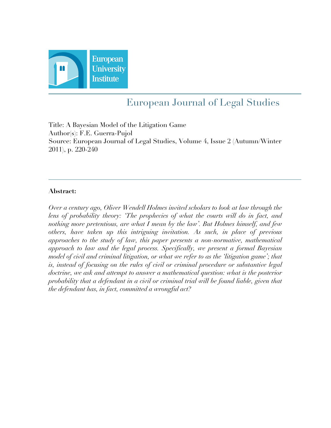

# European Journal of Legal Studies

Title: A Bayesian Model of the Litigation Game Author(s): F.E. Guerra-Pujol Source: European Journal of Legal Studies, Volume 4, Issue 2 (Autumn/Winter 2011), p. 220-240

### **Abstract:**

*Over a century ago, Oliver Wendell Holmes invited scholars to look at law through the*  lens of probability theory: 'The prophecies of what the courts will do in fact, and *nothing more pretentious, are what I mean by the law'. But Holmes himself, and few others, have taken up this intriguing invitation. As such, in place of previous approaches to the study of law, this paper presents a non-normative, mathematical approach to law and the legal process. Specifically, we present a formal Bayesian model of civil and criminal litigation, or what we refer to as the 'litigation game'; that is, instead of focusing on the rules of civil or criminal procedure or substantive legal doctrine, we ask and attempt to answer a mathematical question: what is the posterior probability that a defendant in a civil or criminal trial will be found liable, given that the defendant has, in fact, committed a wrongful act?*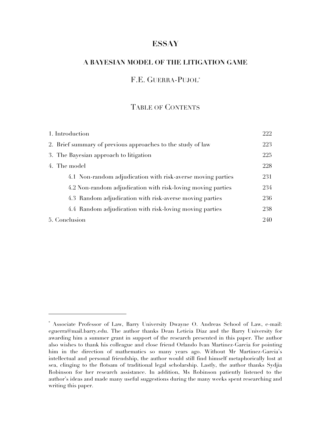# **ESSAY**

### **A BAYESIAN MODEL OF THE LITIGATION GAME**

## F.E. GUERRA-PUJOL\*

#### TABLE OF CONTENTS

| 1. Introduction                                             | 222 |
|-------------------------------------------------------------|-----|
| 2. Brief summary of previous approaches to the study of law | 223 |
| 3. The Bayesian approach to litigation                      | 225 |
| 4. The model                                                | 228 |
| 4.1 Non-random adjudication with risk-averse moving parties | 231 |
| 4.2 Non-random adjudication with risk-loving moving parties | 234 |
| 4.3 Random adjudication with risk-averse moving parties     | 236 |
| 4.4 Random adjudication with risk-loving moving parties     | 238 |
| 5. Conclusion                                               | 240 |

<sup>\*</sup> Associate Professor of Law, Barry University Dwayne O. Andreas School of Law, e-mail: eguerra@mail.barry.edu. The author thanks Dean Leticia Diaz and the Barry University for awarding him a summer grant in support of the research presented in this paper. The author also wishes to thank his colleague and close friend Orlando Ivan Martinez-Garcia for pointing him in the direction of mathematics so many years ago. Without Mr Martinez-Garcia's intellectual and personal friendship, the author would still find himself metaphorically lost at sea, clinging to the flotsam of traditional legal scholarship. Lastly, the author thanks Sydjia Robinson for her research assistance. In addition, Ms Robinson patiently listened to the author's ideas and made many useful suggestions during the many weeks spent researching and writing this paper.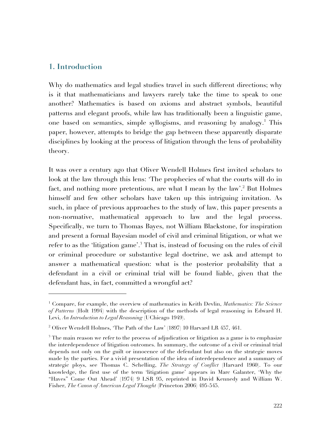## **1. Introduction**

 $\overline{a}$ 

Why do mathematics and legal studies travel in such different directions; why is it that mathematicians and lawyers rarely take the time to speak to one another? Mathematics is based on axioms and abstract symbols, beautiful patterns and elegant proofs, while law has traditionally been a linguistic game, one based on semantics, simple syllogisms, and reasoning by analogy.<sup>1</sup> This paper, however, attempts to bridge the gap between these apparently disparate disciplines by looking at the process of litigation through the lens of probability theory.

It was over a century ago that Oliver Wendell Holmes first invited scholars to look at the law through this lens: 'The prophecies of what the courts will do in fact, and nothing more pretentious, are what I mean by the law'.<sup>2</sup> But Holmes himself and few other scholars have taken up this intriguing invitation. As such, in place of previous approaches to the study of law, this paper presents a non-normative, mathematical approach to law and the legal process. Specifically, we turn to Thomas Bayes, not William Blackstone, for inspiration and present a formal Bayesian model of civil and criminal litigation, or what we refer to as the 'litigation game'.<sup>3</sup> That is, instead of focusing on the rules of civil or criminal procedure or substantive legal doctrine, we ask and attempt to answer a mathematical question: what is the posterior probability that a defendant in a civil or criminal trial will be found liable, given that the defendant has, in fact, committed a wrongful act?

<sup>&</sup>lt;sup>1</sup> Compare, for example, the overview of mathematics in Keith Devlin, *Mathematics: The Science of Patterns* (Holt 1994) with the description of the methods of legal reasoning in Edward H. Levi, *An Introduction to Legal Reasoning* (UChicago 1949).

 $^2$  Oliver Wendell Holmes, 'The Path of the Law' (1897) 10 Harvard LR 457, 461.

 $3$  The main reason we refer to the process of adjudication or litigation as a game is to emphasize the interdependence of litigation outcomes. In summary, the outcome of a civil or criminal trial depends not only on the guilt or innocence of the defendant but also on the strategic moves made by the parties. For a vivid presentation of the idea of interdependence and a summary of strategic ploys, see Thomas C. Schelling, *The Strategy of Conflict* (Harvard 1960). To our knowledge, the first use of the term 'litigation game' appears in Marc Galanter, 'Why the "Haves" Come Out Ahead' (1974) 9 LSR 95, reprinted in David Kennedy and William W. Fisher, *The Canon of American Legal Thought* (Princeton 2006) 495-545.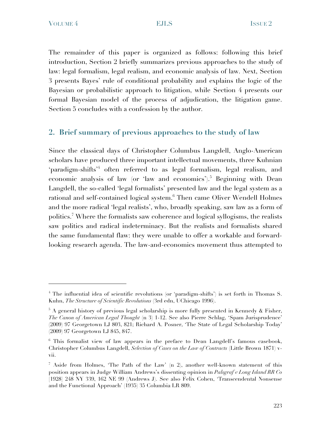VOLUME 4 **EJLS ESULS ISSUE 2** 

 $\overline{a}$ 

The remainder of this paper is organized as follows: following this brief introduction, Section 2 briefly summarizes previous approaches to the study of law: legal formalism, legal realism, and economic analysis of law. Next, Section 3 presents Bayes' rule of conditional probability and explains the logic of the Bayesian or probabilistic approach to litigation, while Section 4 presents our formal Bayesian model of the process of adjudication, the litigation game. Section 5 concludes with a confession by the author.

# **2. Brief summary of previous approaches to the study of law**

Since the classical days of Christopher Columbus Langdell, Anglo-American scholars have produced three important intellectual movements, three Kuhnian 'paradigm-shifts<sup>34</sup> often referred to as legal formalism, legal realism, and economic analysis of law (or 'law and economics').<sup>5</sup> Beginning with Dean Langdell, the so-called 'legal formalists' presented law and the legal system as a rational and self-contained logical system.6 Then came Oliver Wendell Holmes and the more radical 'legal realists', who, broadly speaking, saw law as a form of politics.<sup>7</sup> Where the formalists saw coherence and logical syllogisms, the realists saw politics and radical indeterminacy. But the realists and formalists shared the same fundamental flaw: they were unable to offer a workable and forwardlooking research agenda. The law-and-economics movement thus attempted to

<sup>&</sup>lt;sup>4</sup> The influential idea of scientific revolutions (or 'paradigm-shifts') is set forth in Thomas S. Kuhn, *The Structure of Scientific Revolutions* (3rd edn, UChicago 1996).

<sup>5</sup> A general history of previous legal scholarship is more fully presented in Kennedy & Fisher, *The Canon of American Legal Thought* (n 3) 1-12. See also Pierre Schlag, 'Spam Jurisprudence' (2009) 97 Georgetown LJ 803, 821; Richard A. Posner, 'The State of Legal Scholarship Today' (2009) 97 Georgetown LJ 845, 847.

<sup>&</sup>lt;sup>6</sup> This formalist view of law appears in the preface to Dean Langdell's famous casebook, Christopher Columbus Langdell, *Selection of Cases on the Law of Contracts* (Little Brown 1871) vvii.

<sup>&</sup>lt;sup>7</sup> Aside from Holmes, 'The Path of the Law' (n 2), another well-known statement of this position appears in Judge William Andrews's dissenting opinion in *Palsgraf v Long Island RR Co* [1928] 248 NY 339, 162 NE 99 (Andrews J). See also Felix Cohen, 'Transcendental Nonsense and the Functional Approach' (1935) 35 Columbia LR 809.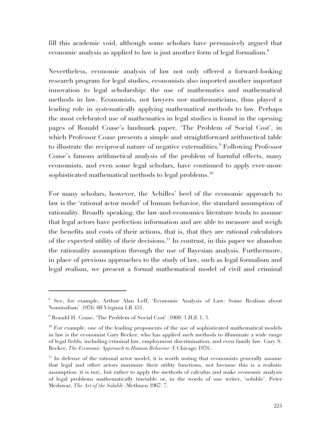fill this academic void, although some scholars have persuasively argued that economic analysis as applied to law is just another form of legal formalism.<sup>8</sup>

Nevertheless, economic analysis of law not only offered a forward-looking research program for legal studies, economists also imported another important innovation to legal scholarship: the use of mathematics and mathematical methods in law. Economists, not lawyers nor mathematicians, thus played a leading role in systematically applying mathematical methods to law. Perhaps the most celebrated use of mathematics in legal studies is found in the opening pages of Ronald Coase's landmark paper, 'The Problem of Social Cost', in which Professor Coase presents a simple and straightforward arithmetical table to illustrate the reciprocal nature of negative externalities.<sup>9</sup> Following Professor Coase's famous arithmetical analysis of the problem of harmful effects, many economists, and even some legal scholars, have continued to apply ever-more sophisticated mathematical methods to legal problems.<sup>10</sup>

For many scholars, however, the Achilles' heel of the economic approach to law is the 'rational actor model' of human behavior, the standard assumption of rationality. Broadly speaking, the law-and-economics literature tends to assume that legal actors have perfection information and are able to measure and weigh the benefits and costs of their actions, that is, that they are rational calculators of the expected utility of their decisions.<sup>11</sup> In contrast, in this paper we abandon the rationality assumption through the use of Bayesian analysis. Furthermore, in place of previous approaches to the study of law, such as legal formalism and legal realism, we present a formal mathematical model of civil and criminal

<sup>8</sup> See, for example, Arthur Alan Leff, 'Economic Analysis of Law: Some Realism about Nominalism' (1976) 60 Virginia LR 451.

 $^9$  Ronald H. Coase, 'The Problem of Social Cost' (1960) 3 JLE 1, 3.

 $10$  For example, one of the leading proponents of the use of sophisticated mathematical models in law is the economist Gary Becker, who has applied such methods to illuminate a wide range of legal fields, including criminal law, employment discrimination, and even family law. Gary S. Becker, *The Economic Approach to Human Behavior* (UChicago 1976).

 $11$  In defense of the rational actor model, it is worth noting that economists generally assume that legal and other actors maximize their utility functions, not because this is a realistic assumption (it is not), but rather to apply the methods of calculus and make economic analysis of legal problems mathematically tractable or, in the words of one writer, 'soluble'. Peter Medawar, *The Art of the Soluble* (Methuen 1967) 7.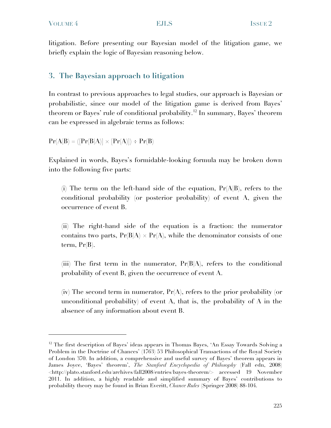litigation. Before presenting our Bayesian model of the litigation game, we briefly explain the logic of Bayesian reasoning below.

# **3. The Bayesian approach to litigation**

In contrast to previous approaches to legal studies, our approach is Bayesian or probabilistic, since our model of the litigation game is derived from Bayes' theorem or Bayes' rule of conditional probability.12 In summary, Bayes' theorem can be expressed in algebraic terms as follows:

 $Pr(A|B) = ([Pr(B|A)] \times [Pr(A)]) \div Pr(B)$ 

Explained in words, Bayes's formidable-looking formula may be broken down into the following five parts:

(i) The term on the left-hand side of the equation,  $Pr(A|B)$ , refers to the conditional probability (or posterior probability) of event A, given the occurrence of event B.

(ii) The right-hand side of the equation is a fraction: the numerator contains two parts,  $Pr(B|A) \times Pr(A)$ , while the denominator consists of one term,  $Pr(B)$ .

(iii) The first term in the numerator,  $Pr(B|A)$ , refers to the conditional probability of event B, given the occurrence of event A.

(iv) The second term in numerator,  $Pr(A)$ , refers to the prior probability (or unconditional probability) of event A, that is, the probability of A in the absence of any information about event B.

<sup>&</sup>lt;sup>12</sup> The first description of Bayes' ideas appears in Thomas Bayes, 'An Essay Towards Solving a Problem in the Doctrine of Chances' (1763) 53 Philosophical Transactions of the Royal Society of London 370. In addition, a comprehensive and useful survey of Bayes' theorem appears in James Joyce, 'Bayes' theorem', *The Stanford Encyclopedia of Philosophy* (Fall edn, 2008) <http://plato.stanford.edu/archives/fall2008/entries/bayes-theorem/> accessed 19 November 2011. In addition, a highly readable and simplified summary of Bayes' contributions to probability theory may be found in Brian Everitt, *Chance Rules* (Springer 2008) 88-104.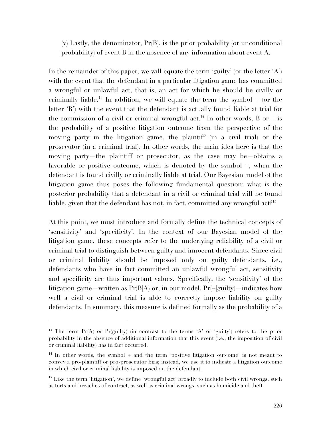$(v)$  Lastly, the denominator,  $Pr(B)$ , is the prior probability (or unconditional probability) of event B in the absence of any information about event A.

In the remainder of this paper, we will equate the term 'guilty' (or the letter 'A') with the event that the defendant in a particular litigation game has committed a wrongful or unlawful act, that is, an act for which he should be civilly or criminally liable.<sup>13</sup> In addition, we will equate the term the symbol  $+$  (or the letter 'B') with the event that the defendant is actually found liable at trial for the commission of a civil or criminal wrongful act.<sup>14</sup> In other words, B or  $+$  is the probability of a positive litigation outcome from the perspective of the moving party in the litigation game, the plaintiff (in a civil trial) or the prosecutor (in a criminal trial). In other words, the main idea here is that the moving party—the plaintiff or prosecutor, as the case may be—obtains a favorable or positive outcome, which is denoted by the symbol +, when the defendant is found civilly or criminally liable at trial. Our Bayesian model of the litigation game thus poses the following fundamental question: what is the posterior probability that a defendant in a civil or criminal trial will be found liable, given that the defendant has not, in fact, committed any wrongful act.<sup>915</sup>

At this point, we must introduce and formally define the technical concepts of 'sensitivity' and 'specificity'. In the context of our Bayesian model of the litigation game, these concepts refer to the underlying reliability of a civil or criminal trial to distinguish between guilty and innocent defendants. Since civil or criminal liability should be imposed only on guilty defendants, i.e., defendants who have in fact committed an unlawful wrongful act, sensitivity and specificity are thus important values. Specifically, the 'sensitivity' of the litigation game—written as  $Pr(B|A)$  or, in our model,  $Pr(+|guilty)$ —indicates how well a civil or criminal trial is able to correctly impose liability on guilty defendants. In summary, this measure is defined formally as the probability of a

<sup>&</sup>lt;sup>13</sup> The term  $Pr(A)$  or  $Pr(guilly)$  (in contrast to the terms 'A' or 'guilty') refers to the prior probability in the absence of additional information that this event (i.e., the imposition of civil or criminal liability) has in fact occurred.

 $14$  In other words, the symbol + and the term 'positive litigation outcome' is not meant to convey a pro-plaintiff or pro-prosecutor bias; instead, we use it to indicate a litigation outcome in which civil or criminal liability is imposed on the defendant.

<sup>&</sup>lt;sup>15</sup> Like the term 'litigation', we define 'wrongful act' broadly to include both civil wrongs, such as torts and breaches of contract, as well as criminal wrongs, such as homicide and theft.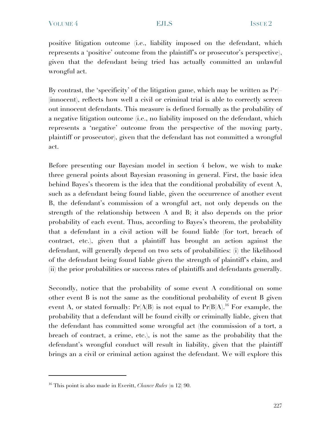positive litigation outcome (i.e., liability imposed on the defendant, which represents a 'positive' outcome from the plaintiff's or prosecutor's perspective), given that the defendant being tried has actually committed an unlawful wrongful act.

By contrast, the 'specificity' of the litigation game, which may be written as Pr(– |innocent), reflects how well a civil or criminal trial is able to correctly screen out innocent defendants. This measure is defined formally as the probability of a negative litigation outcome (i.e., no liability imposed on the defendant, which represents a 'negative' outcome from the perspective of the moving party, plaintiff or prosecutor), given that the defendant has not committed a wrongful act.

Before presenting our Bayesian model in section 4 below, we wish to make three general points about Bayesian reasoning in general. First, the basic idea behind Bayes's theorem is the idea that the conditional probability of event A, such as a defendant being found liable, given the occurrence of another event B, the defendant's commission of a wrongful act, not only depends on the strength of the relationship between A and B; it also depends on the prior probability of each event. Thus, according to Bayes's theorem, the probability that a defendant in a civil action will be found liable (for tort, breach of contract, etc.), given that a plaintiff has brought an action against the defendant, will generally depend on two sets of probabilities: (i) the likelihood of the defendant being found liable given the strength of plaintiff's claim, and (ii) the prior probabilities or success rates of plaintiffs and defendants generally.

Secondly, notice that the probability of some event A conditional on some other event B is not the same as the conditional probability of event B given event A, or stated formally:  $Pr(A|B)$  is not equal to  $Pr(B|A)$ .<sup>16</sup> For example, the probability that a defendant will be found civilly or criminally liable, given that the defendant has committed some wrongful act (the commission of a tort, a breach of contract, a crime, etc.), is not the same as the probability that the defendant's wrongful conduct will result in liability, given that the plaintiff brings an a civil or criminal action against the defendant. We will explore this

<sup>16</sup> This point is also made in Everitt, *Chance Rules* (n 12) 90.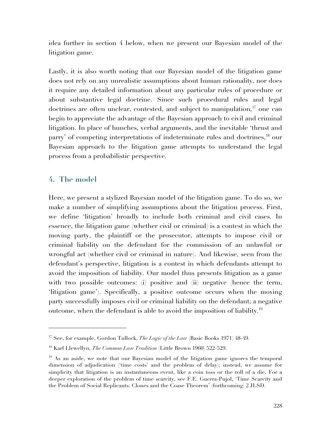idea further in section 4 below, when we present our Bayesian model of the litigation game.

Lastly, it is also worth noting that our Bayesian model of the litigation game does not rely on any unrealistic assumptions about human rationality, nor does it require any detailed information about any particular rules of procedure or about substantive legal doctrine. Since such procedural rules and legal doctrines are often unclear, contested, and subject to manipulation,<sup>17</sup> one can begin to appreciate the advantage of the Bayesian approach to civil and criminal litigation. In place of hunches, verbal arguments, and the inevitable 'thrust and parry' of competing interpretations of indeterminate rules and doctrines,<sup>18</sup> our Bayesian approach to the litigation game attempts to understand the legal process from a probabilistic perspective.

# **4. The model**

 $\overline{a}$ 

Here, we present a stylized Bayesian model of the litigation game. To do so, we make a number of simplifying assumptions about the litigation process. First, we define 'litigation' broadly to include both criminal and civil cases. In essence, the litigation game (whether civil or criminal) is a contest in which the moving party, the plaintiff or the prosecutor, attempts to impose civil or criminal liability on the defendant for the commission of an unlawful or wrongful act (whether civil or criminal in nature). And likewise, seen from the defendant's perspective, litigation is a contest in which defendants attempt to avoid the imposition of liability. Our model thus presents litigation as a game with two possible outcomes: (i) positive and (ii) negative (hence the term, 'litigation game'). Specifically, a positive outcome occurs when the moving party successfully imposes civil or criminal liability on the defendant; a negative outcome, when the defendant is able to avoid the imposition of liability.19

<sup>17</sup> See, for example, Gordon Tullock, *The Logic of the Law* (Basic Books 1971) 48-49.

<sup>18</sup> Karl Llewellyn, *The Common Law Tradition* (Little Brown 1960) 522-529.

<sup>&</sup>lt;sup>19</sup> As an aside, we note that our Bayesian model of the litigation game ignores the temporal dimension of adjudication ('time costs' and the problem of delay); instead, we assume for simplicity that litigation is an instantaneous event, like a coin toss or the roll of a die. For a deeper exploration of the problem of time scarcity, see F.E. Guerra-Pujol, 'Time Scarcity and the Problem of Social Replicants: Clones and the Coase Theorem' (forthcoming) 2 JLSD.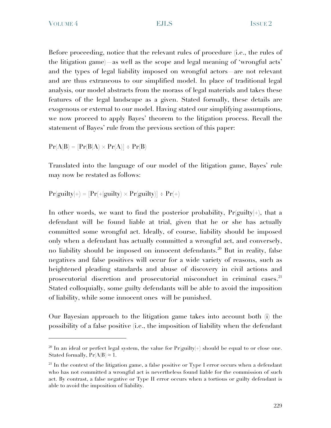Before proceeding, notice that the relevant rules of procedure (i.e., the rules of the litigation game)—as well as the scope and legal meaning of 'wrongful acts' and the types of legal liability imposed on wrongful actors—are not relevant and are thus extraneous to our simplified model. In place of traditional legal analysis, our model abstracts from the morass of legal materials and takes these features of the legal landscape as a given. Stated formally, these details are exogenous or external to our model. Having stated our simplifying assumptions, we now proceed to apply Bayes' theorem to the litigation process. Recall the statement of Bayes' rule from the previous section of this paper:

$$
Pr(A|B) = [Pr(B|A) \times Pr(A)] \div Pr(B)
$$

Translated into the language of our model of the litigation game, Bayes' rule may now be restated as follows:

$$
Pr(guily|+) = [Pr(+|guily) \times Pr(guily)] \div Pr(+)
$$

In other words, we want to find the posterior probability,  $Pr(gulity|+)$ , that a defendant will be found liable at trial, given that he or she has actually committed some wrongful act. Ideally, of course, liability should be imposed only when a defendant has actually committed a wrongful act, and conversely, no liability should be imposed on innocent defendants.20 But in reality, false negatives and false positives will occur for a wide variety of reasons, such as heightened pleading standards and abuse of discovery in civil actions and prosecutorial discretion and prosecutorial misconduct in criminal cases.<sup>21</sup> Stated colloquially, some guilty defendants will be able to avoid the imposition of liability, while some innocent ones will be punished.

Our Bayesian approach to the litigation game takes into account both (i) the possibility of a false positive (i.e., the imposition of liability when the defendant

<sup>&</sup>lt;sup>20</sup> In an ideal or perfect legal system, the value for  $Pr(guilly|+)$  should be equal to or close one. Stated formally,  $Pr(A|B) \approx 1$ .

 $21$  In the context of the litigation game, a false positive or Type I error occurs when a defendant who has not committed a wrongful act is nevertheless found liable for the commission of such act. By contrast, a false negative or Type II error occurs when a tortious or guilty defendant is able to avoid the imposition of liability.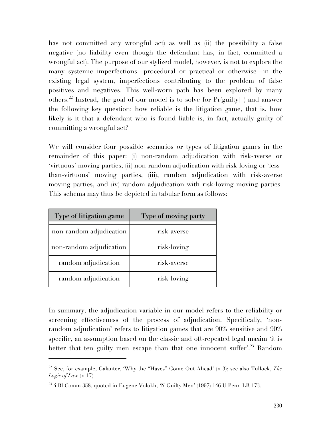has not committed any wrongful act) as well as (ii) the possibility a false negative (no liability even though the defendant has, in fact, committed a wrongful act). The purpose of our stylized model, however, is not to explore the many systemic imperfections—procedural or practical or otherwise—in the existing legal system, imperfections contributing to the problem of false positives and negatives. This well-worn path has been explored by many others.<sup>22</sup> Instead, the goal of our model is to solve for  $Pr(guilty|+)$  and answer the following key question: how reliable is the litigation game, that is, how likely is it that a defendant who is found liable is, in fact, actually guilty of committing a wrongful act?

We will consider four possible scenarios or types of litigation games in the remainder of this paper: (i) non-random adjudication with risk-averse or 'virtuous' moving parties, (ii) non-random adjudication with risk-loving or 'lessthan-virtuous' moving parties, (iii), random adjudication with risk-averse moving parties, and (iv) random adjudication with risk-loving moving parties. This schema may thus be depicted in tabular form as follows:

| <b>Type of litigation game</b> | Type of moving party |
|--------------------------------|----------------------|
| non-random adjudication        | risk-averse          |
| non-random adjudication        | risk-loving          |
| random adjudication            | risk-averse          |
| random adjudication            | risk-loving          |

 $\overline{a}$ 

In summary, the adjudication variable in our model refers to the reliability or screening effectiveness of the process of adjudication. Specifically, 'nonrandom adjudication' refers to litigation games that are 90% sensitive and 90% specific, an assumption based on the classic and oft-repeated legal maxim 'it is better that ten guilty men escape than that one innocent suffer'.<sup>23</sup> Random

<sup>22</sup> See, for example, Galanter, 'Why the "Haves" Come Out Ahead' (n 3); see also Tullock, *The Logic of Law* (n 17).

 $^{23}$  4 Bl Comm 358, quoted in Eugene Volokh, 'N Guilty Men' (1997) 146 U Penn LR 173.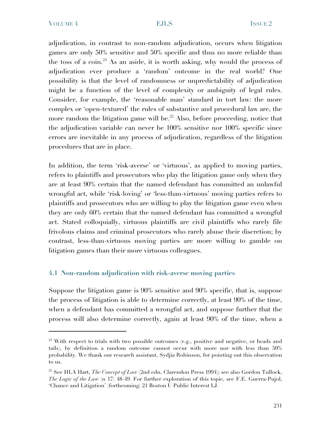adjudication, in contrast to non-random adjudication, occurs when litigation games are only 50% sensitive and 50% specific and thus no more reliable than the toss of a coin.<sup>24</sup> As an aside, it is worth asking, why would the process of adjudication ever produce a 'random' outcome in the real world? One possibility is that the level of randomness or unpredictability of adjudication might be a function of the level of complexity or ambiguity of legal rules. Consider, for example, the 'reasonable man' standard in tort law: the more complex or 'open-textured' the rules of substantive and procedural law are, the more random the litigation game will be.<sup>25</sup> Also, before proceeding, notice that the adjudication variable can never be 100% sensitive nor 100% specific since errors are inevitable in any process of adjudication, regardless of the litigation procedures that are in place.

In addition, the term 'risk-averse' or 'virtuous', as applied to moving parties, refers to plaintiffs and prosecutors who play the litigation game only when they are at least 90% certain that the named defendant has committed an unlawful wrongful act, while 'risk-loving' or 'less-than-virtuous' moving parties refers to plaintiffs and prosecutors who are willing to play the litigation game even when they are only 60% certain that the named defendant has committed a wrongful act. Stated colloquially, virtuous plaintiffs are civil plaintiffs who rarely file frivolous claims and criminal prosecutors who rarely abuse their discretion; by contrast, less-than-virtuous moving parties are more willing to gamble on litigation games than their more virtuous colleagues.

### **4.1 Non-random adjudication with risk-averse moving parties**

Suppose the litigation game is 90% sensitive and 90% specific, that is, suppose the process of litigation is able to determine correctly, at least 90% of the time, when a defendant has committed a wrongful act, and suppose further that the process will also determine correctly, again at least 90% of the time, when a

<sup>&</sup>lt;sup>24</sup> With respect to trials with two possible outcomes (e.g., positive and negative, or heads and tails), by definition a random outcome cannot occur with more nor with less than 50% probability. We thank our research assistant, Sydjia Robinson, for pointing out this observation to us.

<sup>25</sup> See HLA Hart, *The Concept of Law* (2nd edn, Clarendon Press 1994); see also Gordon Tullock, *The Logic of the Law* (n 17) 48-49. For further exploration of this topic, see F.E. Guerra-Pujol, 'Chance and Litigation' (forthcoming) 21 Boston U Public Interest LJ.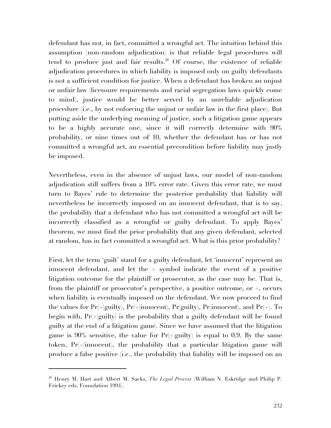defendant has not, in fact, committed a wrongful act. The intuition behind this assumption (non-random adjudication) is that reliable legal procedures will tend to produce just and fair results. 26 Of course, the existence of reliable adjudication procedures in which liability is imposed only on guilty defendants is not a sufficient condition for justice. When a defendant has broken an unjust or unfair law (licensure requirements and racial segregation laws quickly come to mind), justice would be better served by an unreliable adjudication procedure (i.e., by not enforcing the unjust or unfair law in the first place). But putting aside the underlying meaning of justice, such a litigation game appears to be a highly accurate one, since it will correctly determine with 90% probability, or nine times out of 10, whether the defendant has or has not committed a wrongful act, an essential precondition before liability may justly be imposed.

Nevertheless, even in the absence of unjust laws, our model of non-random adjudication still suffers from a 10% error rate. Given this error rate, we must turn to Bayes' rule to determine the posterior probability that liability will nevertheless be incorrectly imposed on an innocent defendant, that is to say, the probability that a defendant who has not committed a wrongful act will be incorrectly classified as a wrongful or guilty defendant. To apply Bayes' theorem, we must find the prior probability that any given defendant, selected at random, has in fact committed a wrongful act. What is this prior probability?

First, let the term 'guilt' stand for a guilty defendant, let 'innocent' represent an innocent defendant, and let the + symbol indicate the event of a positive litigation outcome for the plaintiff or prosecutor, as the case may be. That is, from the plaintiff or prosecutor's perspective, a positive outcome, or +, occurs when liability is eventually imposed on the defendant. We now proceed to find the values for  $Pr(+|gui|ty)$ ,  $Pr(+|innocent)$ ,  $Pr(gui|ty)$ ,  $Pr(innocent)$ , and  $Pr(+)$ . To begin with,  $Pr(+|gui|y)$  is the probability that a guilty defendant will be found guilty at the end of a litigation game. Since we have assumed that the litigation game is 90% sensitive, the value for  $Pr(+|$ guilty) is equal to 0.9. By the same token, Pr(+|innocent), the probability that a particular litigation game will produce a false positive (i.e., the probability that liability will be imposed on an

<sup>26</sup> Henry M. Hart and Albert M. Sacks, *The Legal Process* (William N. Eskridge and Philip P. Frickey eds, Foundation 1994).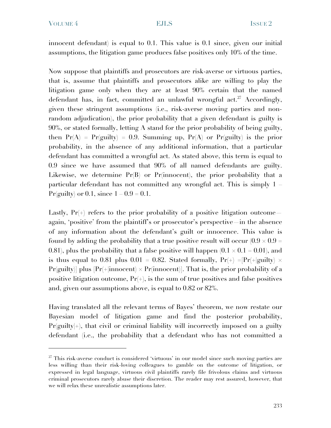innocent defendant) is equal to 0.1. This value is 0.1 since, given our initial assumptions, the litigation game produces false positives only 10% of the time.

Now suppose that plaintiffs and prosecutors are risk-averse or virtuous parties, that is, assume that plaintiffs and prosecutors alike are willing to play the litigation game only when they are at least 90% certain that the named defendant has, in fact, committed an unlawful wrongful act.<sup>27</sup> Accordingly, given these stringent assumptions (i.e., risk-averse moving parties and nonrandom adjudication), the prior probability that a given defendant is guilty is 90%, or stated formally, letting A stand for the prior probability of being guilty, then  $Pr(A) = Pr(guilly) = 0.9$ . Summing up,  $Pr(A)$  or  $Pr(guilly)$  is the prior probability, in the absence of any additional information, that a particular defendant has committed a wrongful act. As stated above, this term is equal to 0.9 since we have assumed that 90% of all named defendants are guilty. Likewise, we determine  $Pr(B)$  or  $Pr(\text{innocent})$ , the prior probability that a particular defendant has not committed any wrongful act. This is simply 1 – Pr(guilty) or 0.1, since  $1 - 0.9 = 0.1$ .

Lastly,  $Pr(+)$  refers to the prior probability of a positive litigation outcome again, 'positive' from the plaintiff's or prosecutor's perspective—in the absence of any information about the defendant's guilt or innocence. This value is found by adding the probability that a true positive result will occur  $(0.9 \times 0.9 =$ 0.81), plus the probability that a false positive will happen  $(0.1 \times 0.1 = 0.01)$ , and is thus equal to 0.81 plus 0.01 = 0.82. Stated formally,  $Pr(+) = [Pr(+|gui]$   $\times$  $Pr(guily)$  plus  $Pr(+|innocent) \times Pr(innocent)$ . That is, the prior probability of a positive litigation outcome,  $Pr(+)$ , is the sum of true positives and false positives and, given our assumptions above, is equal to 0.82 or 82%.

Having translated all the relevant terms of Bayes' theorem, we now restate our Bayesian model of litigation game and find the posterior probability,  $Pr(guily|+)$ , that civil or criminal liability will incorrectly imposed on a guilty defendant (i.e., the probability that a defendant who has not committed a

 $27$  This risk-averse conduct is considered 'virtuous' in our model since such moving parties are less willing than their risk-loving colleagues to gamble on the outcome of litigation, or expressed in legal language, virtuous civil plaintiffs rarely file frivolous claims and virtuous criminal prosecutors rarely abuse their discretion. The reader may rest assured, however, that we will relax these unrealistic assumptions later.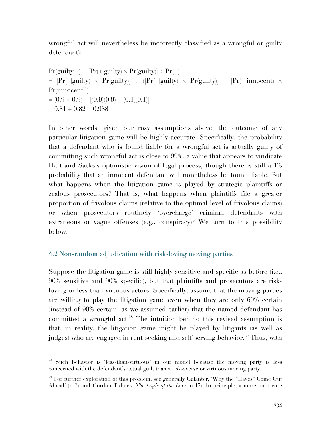wrongful act will nevertheless be incorrectly classified as a wrongful or guilty defendant):

 $Pr(guilly|+) = [Pr(+|guilly) \times Pr(guilly)] \div Pr(+)$  $=$   $[Pr(+|guity) \times Pr(guity)] \div ([Pr(+|guity) \times Pr(guity)] + [Pr(+|innocent) \times$ Pr(innocent)])  $= (0.9 \times 0.9) \div [(0.9)(0.9) + (0.1)(0.1)]$  $= 0.81 \div 0.82 = 0.988$ 

In other words, given our rosy assumptions above, the outcome of any particular litigation game will be highly accurate. Specifically, the probability that a defendant who is found liable for a wrongful act is actually guilty of committing such wrongful act is close to 99%, a value that appears to vindicate Hart and Sacks's optimistic vision of legal process, though there is still a 1% probability that an innocent defendant will nonetheless be found liable. But what happens when the litigation game is played by strategic plaintiffs or zealous prosecutors? That is, what happens when plaintiffs file a greater proportion of frivolous claims (relative to the optimal level of frivolous claims) or when prosecutors routinely 'overcharge' criminal defendants with extraneous or vague offenses (e.g., conspiracy)? We turn to this possibility below.

### **4.2 Non-random adjudication with risk-loving moving parties**

 $\overline{a}$ 

Suppose the litigation game is still highly sensitive and specific as before (i.e., 90% sensitive and 90% specific), but that plaintiffs and prosecutors are riskloving or less-than-virtuous actors. Specifically, assume that the moving parties are willing to play the litigation game even when they are only 60% certain (instead of 90% certain, as we assumed earlier) that the named defendant has committed a wrongful act.<sup>28</sup> The intuition behind this revised assumption is that, in reality, the litigation game might be played by litigants (as well as judges) who are engaged in rent-seeking and self-serving behavior.<sup>29</sup> Thus, with

<sup>28</sup> Such behavior is 'less-than-virtuous' in our model because the moving party is less concerned with the defendant's actual guilt than a risk-averse or virtuous moving party.

 $29$  For further exploration of this problem, see generally Galanter, 'Why the "Haves" Come Out Ahead' (n 3) and Gordon Tullock, *The Logic of the Law* (n 17). In principle, a more hard-core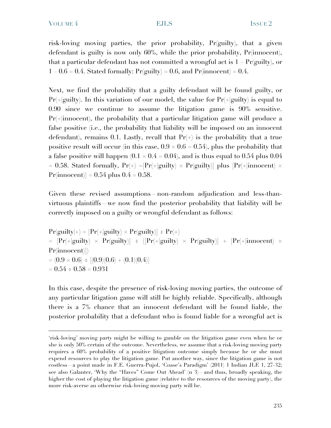risk-loving moving parties, the prior probability, Pr(guilty), that a given defendant is guilty is now only 60%, while the prior probability, Pr(innocent), that a particular defendant has not committed a wrongful act is  $1 - Pr(guity)$ , or 1 – 0.6 = 0.4. Stated formally:  $Pr(gulty) = 0.6$ , and  $Pr(innocent) = 0.4$ .

Next, we find the probability that a guilty defendant will be found guilty, or  $Pr(+|guity)$ . In this variation of our model, the value for  $Pr(+|guity)$  is equal to 0.90 since we continue to assume the litigation game is 90% sensitive.  $Pr(+|innocent)$ , the probability that a particular litigation game will produce a false positive (i.e., the probability that liability will be imposed on an innocent defendant), remains 0.1. Lastly, recall that  $Pr(+)$  is the probability that a true positive result will occur (in this case,  $0.9 \times 0.6 = 0.54$ ), plus the probability that a false positive will happen  $(0.1 \times 0.4 = 0.04)$ , and is thus equal to 0.54 plus 0.04 = 0.58. Stated formally,  $Pr(+) = [Pr(+|guity) \times Pr(guity)]$  plus  $[Pr(+|innocent) \times$  $Pr(innocent)] = 0.54$  plus  $0.4 = 0.58$ .

Given these revised assumptions non-random adjudication and less-thanvirtuous plaintiffs—we now find the posterior probability that liability will be correctly imposed on a guilty or wrongful defendant as follows:

 $Pr(guilly|+) = [Pr(+|guilly) \times Pr(guilly)] \div Pr(+)$  $=$   $[Pr(+|guity) \times Pr(guity)] \div ([Pr(+|guity) \times Pr(guity)] + [Pr(+|innocent) \times$ Pr(innocent)])  $= (0.9 \times 0.6) \div [(0.9)(0.6) + (0.1)(0.4)]$  $= 0.54 \div 0.58 = 0.931$ 

In this case, despite the presence of risk-loving moving parties, the outcome of any particular litigation game will still be highly reliable. Specifically, although there is a 7% chance that an innocent defendant will be found liable, the posterior probability that a defendant who is found liable for a wrongful act is

<sup>&#</sup>x27;risk-loving' moving party might be willing to gamble on the litigation game even when he or she is only 50% certain of the outcome. Nevertheless, we assume that a risk-loving moving party requires a 60% probability of a positive litigation outcome simply because he or she must expend resources to play the litigation game. Put another way, since the litigation game is not costless—a point made in F.E. Guerra-Pujol, 'Coase's Paradigm' (2011) 1 Indian JLE 1, 27-32; see also Galanter, 'Why the "Haves" Come Out Ahead' (n 3)—and thus, broadly speaking, the higher the cost of playing the litigation game (relative to the resources of the moving party), the more risk-averse an otherwise risk-loving moving party will be.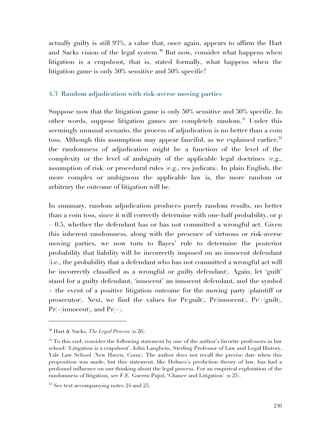actually guilty is still 93%, a value that, once again, appears to affirm the Hart and Sacks vision of the legal system.<sup>30</sup> But now, consider what happens when litigation is a crapshoot, that is, stated formally, what happens when the litigation game is only 50% sensitive and 50% specific?

#### **4.3 Random adjudication with risk-averse moving parties**

Suppose now that the litigation game is only 50% sensitive and 50% specific. In other words, suppose litigation games are completely random.<sup>31</sup> Under this seemingly unusual scenario, the process of adjudication is no better than a coin toss. Although this assumption may appear fanciful, as we explained earlier,<sup>32</sup> the randomness of adjudication might be a function of the level of the complexity or the level of ambiguity of the applicable legal doctrines (e.g., assumption of risk) or procedural rules (e.g., res judicata). In plain English, the more complex or ambiguous the applicable law is, the more random or arbitrary the outcome of litigation will be.

In summary, random adjudication produces purely random results, no better than a coin toss, since it will correctly determine with one-half probability, or p  $= 0.5$ , whether the defendant has or has not committed a wrongful act. Given this inherent randomness, along with the presence of virtuous or risk-averse moving parties, we now turn to Bayes' rule to determine the posterior probability that liability will be incorrectly imposed on an innocent defendant (i.e., the probability that a defendant who has not committed a wrongful act will be incorrectly classified as a wrongful or guilty defendant). Again, let 'guilt' stand for a guilty defendant, 'innocent' an innocent defendant, and the symbol + the event of a positive litigation outcome for the moving party (plaintiff or prosecutor). Next, we find the values for  $Pr(guil)$ ,  $Pr(innocent)$ ,  $Pr(+|guilt)$ ,  $Pr(+|innocent)$ , and  $Pr(+)$ .

<sup>30</sup> Hart & Sacks, *The Legal Process* (n 26).

<sup>&</sup>lt;sup>31</sup> To this end, consider the following statement by one of the author's favorite professors in law school: 'Litigation is a crapshoot'. John Langbein, Sterling Professor of Law and Legal History, Yale Law School (New Haven, Conn). The author does not recall the precise date when this proposition was made, but this statement, like Holmes's prediction theory of law, has had a profound influence on our thinking about the legal process. For an empirical exploration of the randomness of litigation, see F.E. Guerra-Pujol, 'Chance and Litigation' (n 25).

 $32$  See text accompanying notes 24 and 25.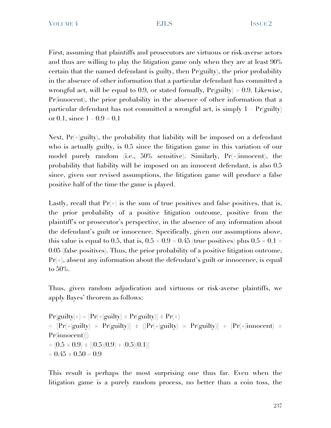First, assuming that plaintiffs and prosecutors are virtuous or risk-averse actors and thus are willing to play the litigation game only when they are at least 90% certain that the named defendant is guilty, then  $Pr(gulty)$ , the prior probability in the absence of other information that a particular defendant has committed a wrongful act, will be equal to 0.9, or stated formally,  $Pr(gulity) = 0.9$ . Likewise, Pr(innocent), the prior probability in the absence of other information that a particular defendant has not committed a wrongful act, is simply  $1$  Pr(guilty) or 0.1, since  $1 - 0.9 = 0.1$ 

Next,  $Pr(+|gui]}$ , the probability that liability will be imposed on a defendant who is actually guilty, is 0.5 since the litigation game in this variation of our model purely random (i.e., 50% sensitive). Similarly, Pr(+|innocent), the probability that liability will be imposed on an innocent defendant, is also 0.5 since, given our revised assumptions, the litigation game will produce a false positive half of the time the game is played.

Lastly, recall that  $Pr(+)$  is the sum of true positives and false positives, that is, the prior probability of a positive litigation outcome, positive from the plaintiff's or prosecutor's perspective, in the absence of any information about the defendant's guilt or innocence. Specifically, given our assumptions above, this value is equal to 0.5, that is,  $0.5 \times 0.9 = 0.45$  (true positives) plus  $0.5 \times 0.1 =$ 0.05 (false positives). Thus, the prior probability of a positive litigation outcome,  $Pr(+)$ , absent any information about the defendant's guilt or innocence, is equal to 50%.

Thus, given random adjudication and virtuous or risk-averse plaintiffs, we apply Bayes' theorem as follows:

 $Pr(guilly|+) = [Pr(+|guilly) \times Pr(guilly)] \div Pr(+)$  $=$   $[Pr(+|guity) \times Pr(guity)] \div ([Pr(+|guity) \times Pr(guity)] + [Pr(+|innocent) \times$ Pr(innocent)])  $= (0.5 \times 0.9) \div [(0.5)(0.9) + (0.5)(0.1)]$  $= 0.45 \div 0.50 = 0.9$ 

This result is perhaps the most surprising one thus far. Even when the litigation game is a purely random process, no better than a coin toss, the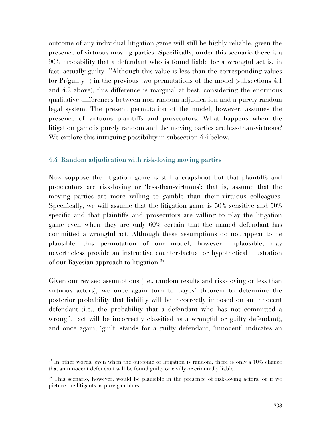outcome of any individual litigation game will still be highly reliable, given the presence of virtuous moving parties. Specifically, under this scenario there is a 90% probability that a defendant who is found liable for a wrongful act is, in fact, actually guilty. 33Although this value is less than the corresponding values for  $Pr(guily|+)$  in the previous two permutations of the model (subsections 4.1) and 4.2 above), this difference is marginal at best, considering the enormous qualitative differences between non-random adjudication and a purely random legal system. The present permutation of the model, however, assumes the presence of virtuous plaintiffs and prosecutors. What happens when the litigation game is purely random and the moving parties are less-than-virtuous? We explore this intriguing possibility in subsection 4.4 below.

### **4.4 Random adjudication with risk-loving moving parties**

Now suppose the litigation game is still a crapshoot but that plaintiffs and prosecutors are risk-loving or 'less-than-virtuous'; that is, assume that the moving parties are more willing to gamble than their virtuous colleagues. Specifically, we will assume that the litigation game is 50% sensitive and 50% specific and that plaintiffs and prosecutors are willing to play the litigation game even when they are only 60% certain that the named defendant has committed a wrongful act. Although these assumptions do not appear to be plausible, this permutation of our model, however implausible, may nevertheless provide an instructive counter-factual or hypothetical illustration of our Bayesian approach to litigation.34

Given our revised assumptions (i.e., random results and risk-loving or less than virtuous actors), we once again turn to Bayes' theorem to determine the posterior probability that liability will be incorrectly imposed on an innocent defendant (i.e., the probability that a defendant who has not committed a wrongful act will be incorrectly classified as a wrongful or guilty defendant), and once again, 'guilt' stands for a guilty defendant, 'innocent' indicates an

 $33$  In other words, even when the outcome of litigation is random, there is only a  $10\%$  chance that an innocent defendant will be found guilty or civilly or criminally liable.

 $34$  This scenario, however, would be plausible in the presence of risk-loving actors, or if we picture the litigants as pure gamblers.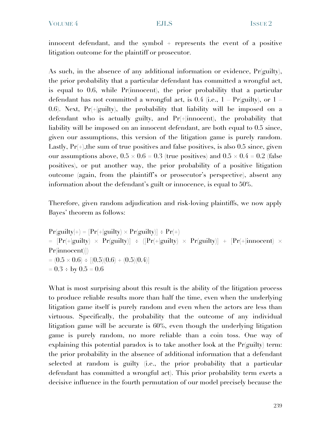innocent defendant, and the symbol + represents the event of a positive litigation outcome for the plaintiff or prosecutor.

As such, in the absence of any additional information or evidence,  $Pr(gulity)$ , the prior probability that a particular defendant has committed a wrongful act, is equal to 0.6, while Pr(innocent), the prior probability that a particular defendant has not committed a wrongful act, is  $0.4$  (i.e., 1 – Pr(guilty), or 1 0.6). Next,  $Pr(+|guity)$ , the probability that liability will be imposed on a defendant who is actually guilty, and Pr(+|innocent), the probability that liability will be imposed on an innocent defendant, are both equal to 0.5 since, given our assumptions, this version of the litigation game is purely random. Lastly,  $Pr(+)$ , the sum of true positives and false positives, is also 0.5 since, given our assumptions above,  $0.5 \times 0.6 = 0.3$  (true positives) and  $0.5 \times 0.4 = 0.2$  (false positives), or put another way, the prior probability of a positive litigation outcome (again, from the plaintiff's or prosecutor's perspective), absent any information about the defendant's guilt or innocence, is equal to 50%.

Therefore, given random adjudication and risk-loving plaintiffs, we now apply Bayes' theorem as follows:

 $Pr(guilly|+) = [Pr(+|guilly) \times Pr(guilly)] \div Pr(+)$  $=$   $[Pr(+|guity) \times Pr(guity)] \div ([Pr(+|guity) \times Pr(guity)] + [Pr(+|innocent) \times$ Pr(innocent)])  $= (0.5 \times 0.6) \div [(0.5)(0.6) + (0.5)(0.4)]$  $= 0.3 \div by 0.5 = 0.6$ 

What is most surprising about this result is the ability of the litigation process to produce reliable results more than half the time, even when the underlying litigation game itself is purely random and even when the actors are less than virtuous. Specifically, the probability that the outcome of any individual litigation game will be accurate is 60%, even though the underlying litigation game is purely random, no more reliable than a coin toss. One way of explaining this potential paradox is to take another look at the  $Pr(guity)$  term: the prior probability in the absence of additional information that a defendant selected at random is guilty (i.e., the prior probability that a particular defendant has committed a wrongful act). This prior probability term exerts a decisive influence in the fourth permutation of our model precisely because the